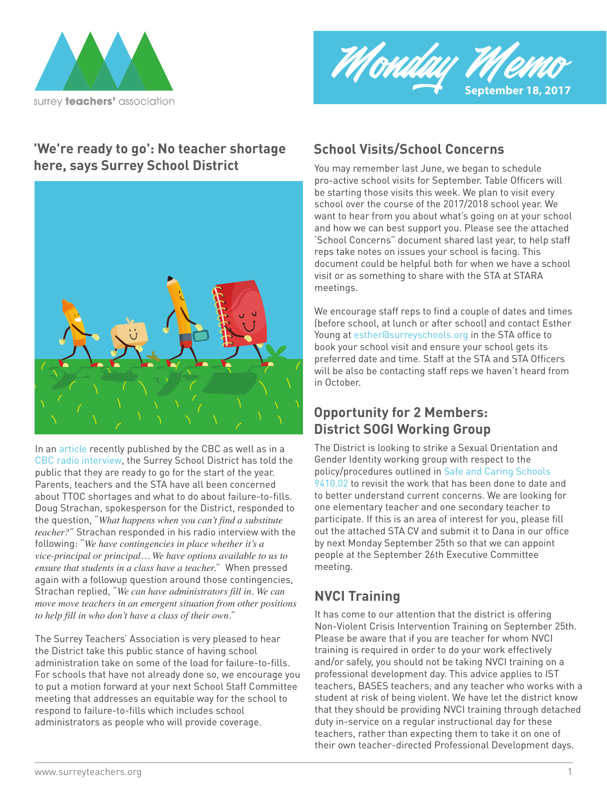



## **'We're ready to go': No teacher shortage here, says Surrey School District** You may remember last June, we began to schedule



In an article recently published by the CBC as well as in a  $\hskip10mm$  The Dis CBC radio interview, the Surrey School District has told the public that they are ready to go for the start of the year. Parents, teachers and the STA have all been concerned about TTOC shortages and what to do about failure-to-fills. Doug Strachan, spokesperson for the District, responded to the question, "*What happens when you can't find a substitute teacher?*" Strachan responded in his radio interview with the following: "*We have contingencies in place whether it's a vice-principal or principal… We have options available to us to ensure that students in a class have a teacher.*" When pressed again with a followup question around those contingencies, Strachan replied, "*We can have administrators fill in. We can move move teachers in an emergent situation from other positions to help fill in who don't have a class of their own.*"

The Surrey Teachers' Association is very pleased to hear the District take this public stance of having school administration take on some of the load for failure-to-fills. For schools that have not already done so, we encourage you to put a motion forward at your next School Staff Committee meeting that addresses an equitable way for the school to respond to failure-to-fills which includes school administrators as people who will provide coverage.

## **School Visits/School Concerns**

pro-active school visits for September. Table Officers will be starting those visits this week. We plan to visit every school over the course of the 2017/2018 school year. We want to hear from you about what's going on at your school and how we can best support you. Please see the attached 'School Concerns" document shared last year, to help staff reps take notes on issues your school is facing. This document could be helpful both for when we have a school visit or as something to share with the STA at STARA meetings.

We encourage staff reps to find a couple of dates and times (before school, at lunch or after school) and contact Esther Young at esther@surreyschools.org in the STA office to book your school visit and ensure your school gets its preferred date and time. Staff at the STA and STA Officers will be also be contacting staff reps we haven't heard from in October.

## **Opportunity for 2 Members: District SOGI Working Group**

9410.02 to revisit the work that has been done to date and policy/procedures outlined in Safe and Caring Schools The District is looking to strike a Sexual Orientation and Gender Identity working group with respect to the to better understand current concerns. We are looking for one elementary teacher and one secondary teacher to participate. If this is an area of interest for you, please fill out the attached STA CV and submit it to Dana in our office by next Monday September 25th so that we can appoint people at the September 26th Executive Committee meeting.

# **NVCI Training**

It has come to our attention that the district is offering Non-Violent Crisis Intervention Training on September 25th. Please be aware that if you are teacher for whom NVCI training is required in order to do your work effectively and/or safely, you should not be taking NVCI training on a professional development day. This advice applies to IST teachers, BASES teachers, and any teacher who works with a student at risk of being violent. We have let the district know that they should be providing NVCI training through detached duty in-service on a regular instructional day for these teachers, rather than expecting them to take it on one of their own teacher-directed Professional Development days.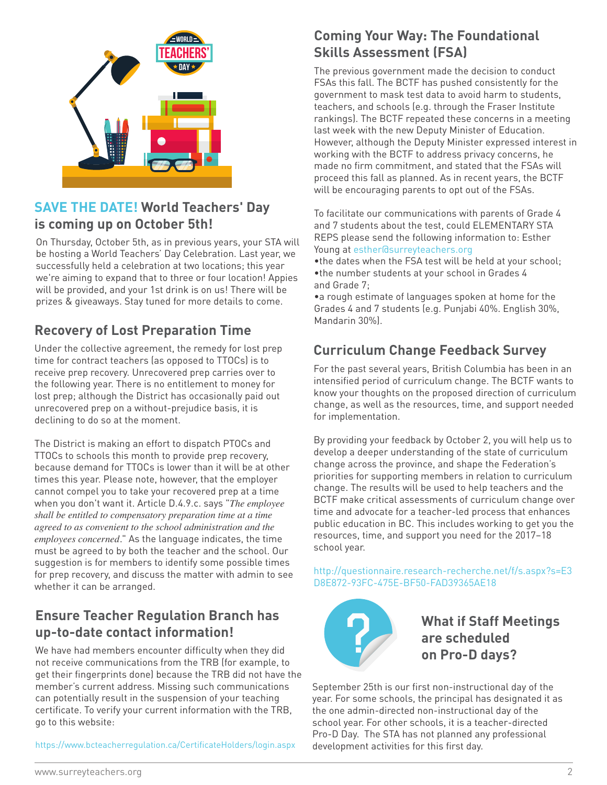

## **SAVE THE DATE! World Teachers' Day is coming up on October 5th!**

On Thursday, October 5th, as in previous years, your STA will be hosting a World Teachers' Day Celebration. Last year, we successfully held a celebration at two locations; this year we're aiming to expand that to three or four location! Appies will be provided, and your 1st drink is on us! There will be prizes & giveaways. Stay tuned for more details to come.

# **Recovery of Lost Preparation Time**

Under the collective agreement, the remedy for lost prep time for contract teachers (as opposed to TTOCs) is to receive prep recovery. Unrecovered prep carries over to the following year. There is no entitlement to money for lost prep; although the District has occasionally paid out unrecovered prep on a without-prejudice basis, it is declining to do so at the moment.

The District is making an effort to dispatch PTOCs and TTOCs to schools this month to provide prep recovery, because demand for TTOCs is lower than it will be at other times this year. Please note, however, that the employer cannot compel you to take your recovered prep at a time when you don't want it. Article D.4.9.c. says "*The employee shall be entitled to compensatory preparation time at a time agreed to as convenient to the school administration and the employees concerned.*" As the language indicates, the time must be agreed to by both the teacher and the school. Our suggestion is for members to identify some possible times for prep recovery, and discuss the matter with admin to see whether it can be arranged.

## **Ensure Teacher Regulation Branch has up-to-date contact information!**

We have had members encounter difficulty when they did not receive communications from the TRB (for example, to get their fingerprints done) because the TRB did not have the member's current address. Missing such communications can potentially result in the suspension of your teaching certificate. To verify your current information with the TRB, go to this website:

https://www.bcteacherregulation.ca/CertificateHolders/login.aspx

## **Coming Your Way: The Foundational Skills Assessment (FSA)**

The previous government made the decision to conduct FSAs this fall. The BCTF has pushed consistently for the government to mask test data to avoid harm to students, teachers, and schools (e.g. through the Fraser Institute rankings). The BCTF repeated these concerns in a meeting last week with the new Deputy Minister of Education. However, although the Deputy Minister expressed interest in working with the BCTF to address privacy concerns, he made no firm commitment, and stated that the FSAs will proceed this fall as planned. As in recent years, the BCTF will be encouraging parents to opt out of the FSAs.

To facilitate our communications with parents of Grade 4 and 7 students about the test, could ELEMENTARY STA REPS please send the following information to: Esther Young at esther@surreyteachers.org

•the dates when the FSA test will be held at your school; •the number students at your school in Grades 4 and Grade 7;

•a rough estimate of languages spoken at home for the Grades 4 and 7 students (e.g. Punjabi 40%. English 30%, Mandarin 30%).

# **Curriculum Change Feedback Survey**

For the past several years, British Columbia has been in an intensified period of curriculum change. The BCTF wants to know your thoughts on the proposed direction of curriculum change, as well as the resources, time, and support needed for implementation.

By providing your feedback by October 2, you will help us to develop a deeper understanding of the state of curriculum change across the province, and shape the Federation's priorities for supporting members in relation to curriculum change. The results will be used to help teachers and the BCTF make critical assessments of curriculum change over time and advocate for a teacher-led process that enhances public education in BC. This includes working to get you the resources, time, and support you need for the 2017–18 school year.

http://questionnaire.research-recherche.net/f/s.aspx?s=E3 D8E872-93FC-475E-BF50-FAD39365AE18



**What if Staff Meetings are scheduled on Pro-D days?**

September 25th is our first non-instructional day of the year. For some schools, the principal has designated it as the one admin-directed non-instructional day of the school year. For other schools, it is a teacher-directed Pro-D Day. The STA has not planned any professional development activities for this first day.